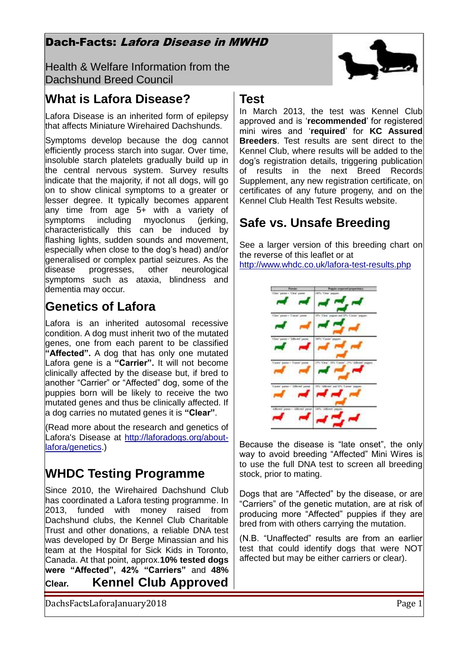### Dach-Facts: Lafora Disease in MWHD

Health & Welfare Information from the Dachshund Breed Council

# **What is Lafora Disease?**

Lafora Disease is an inherited form of epilepsy that affects Miniature Wirehaired Dachshunds.

Symptoms develop because the dog cannot efficiently process starch into sugar. Over time, insoluble starch platelets gradually build up in the central nervous system. Survey results indicate that the majority, if not all dogs, will go on to show clinical symptoms to a greater or lesser degree. It typically becomes apparent any time from age 5+ with a variety of symptoms including myoclonus (jerking, characteristically this can be induced by flashing lights, sudden sounds and movement, especially when close to the dog's head) and/or generalised or complex partial seizures. As the disease progresses, other neurological symptoms such as ataxia, blindness and dementia may occur.

# **Genetics of Lafora**

Lafora is an inherited autosomal recessive condition. A dog must inherit two of the mutated genes, one from each parent to be classified **"Affected".** A dog that has only one mutated Lafora gene is a **"Carrier".** It will not become clinically affected by the disease but, if bred to another "Carrier" or "Affected" dog, some of the puppies born will be likely to receive the two mutated genes and thus be clinically affected. If a dog carries no mutated genes it is **"Clear"**.

(Read more about the research and genetics of Lafora's Disease at [http://laforadogs.org/about](http://laforadogs.org/about-lafora/genetics)[lafora/genetics.](http://laforadogs.org/about-lafora/genetics))

# **WHDC Testing Programme**

Since 2010, the Wirehaired Dachshund Club has coordinated a Lafora testing programme. In 2013, funded with money raised from Dachshund clubs, the Kennel Club Charitable Trust and other donations, a reliable DNA test was developed by Dr Berge Minassian and his team at the Hospital for Sick Kids in Toronto, Canada. At that point, approx.**10% tested dogs were "Affected", 42% "Carriers"** and **48% Clear. Kennel Club Approved** 

DachsFactsLaforaJanuary2018 Page 1

### **Test**

In March 2013, the test was Kennel Club approved and is '**recommended**' for registered mini wires and '**required**' for **KC Assured Breeders**. Test results are sent direct to the Kennel Club, where results will be added to the dog's registration details, triggering publication of results in the next Breed Records Supplement, any new registration certificate, on certificates of any future progeny, and on the Kennel Club Health Test Results website.

# **Safe vs. Unsafe Breeding**

See a larger version of this breeding chart on the reverse of this leaflet or at <http://www.whdc.co.uk/lafora-test-results.php>

| Peremo                                                      | Preside imported properties:             |
|-------------------------------------------------------------|------------------------------------------|
| "Clear" parter + "Clear" passed                             | 1971 "Dee" passen                        |
| That' panel + Timie' poor ::                                | 18% Circl paper aut 19% Cene paper-      |
| Tim'para - 'Afron' para                                     | 1974 "Caree" payme                       |
| Cant pent Cont pent                                         | 19% City", 9% Carin',<br>Witness payment |
| Case'pass - 'Librai' pass                                   | Albrée, ani 174 Laver"<br><b>PERMIT</b>  |
| Affected' power - "Afficent" parent 198% "Affected" prepair |                                          |

Because the disease is "late onset", the only way to avoid breeding "Affected" Mini Wires is to use the full DNA test to screen all breeding stock, prior to mating.

Dogs that are "Affected" by the disease, or are "Carriers" of the genetic mutation, are at risk of producing more "Affected" puppies if they are bred from with others carrying the mutation.

(N.B. "Unaffected" results are from an earlier test that could identify dogs that were NOT affected but may be either carriers or clear).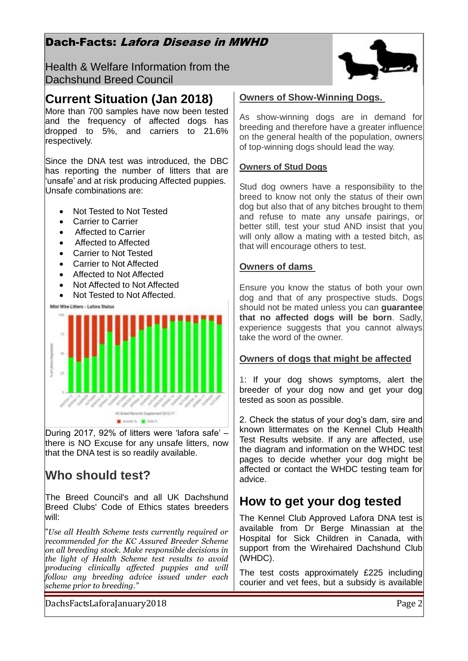### Dach-Facts: Lafora Disease in MWHD

Health & Welfare Information from the Dachshund Breed Council

### **Current Situation (Jan 2018)**

More than 700 samples have now been tested and the frequency of affected dogs has dropped to 5%, and carriers to 21.6% respectively.

Since the DNA test was introduced, the DBC has reporting the number of litters that are 'unsafe' and at risk producing Affected puppies. Unsafe combinations are:

- Not Tested to Not Tested
- Carrier to Carrier
- Affected to Carrier
- Affected to Affected
- Carrier to Not Tested
- Carrier to Not Affected
- Affected to Not Affected
- Not Affected to Not Affected
- Not Tested to Not Affected.

Mini Wire Litters - Lafora Status



During 2017, 92% of litters were 'lafora safe' – there is NO Excuse for any unsafe litters, now that the DNA test is so readily available.

# **Who should test?**

The Breed Council's and all UK Dachshund Breed Clubs' Code of Ethics states breeders will:

"*Use all Health Scheme tests currently required or recommended for the KC Assured Breeder Scheme on all breeding stock. Make responsible decisions in the light of Health Scheme test results to avoid producing clinically affected puppies and will follow any breeding advice issued under each scheme prior to breeding."*

### **Owners of Show-Winning Dogs.**

As show-winning dogs are in demand for breeding and therefore have a greater influence on the general health of the population, owners of top-winning dogs should lead the way.

#### **Owners of Stud Dogs**

Stud dog owners have a responsibility to the breed to know not only the status of their own dog but also that of any bitches brought to them and refuse to mate any unsafe pairings, or better still, test your stud AND insist that you will only allow a mating with a tested bitch, as that will encourage others to test.

### **Owners of dams**

Ensure you know the status of both your own dog and that of any prospective studs. Dogs should not be mated unless you can **guarantee that no affected dogs will be born**. Sadly, experience suggests that you cannot always take the word of the owner.

### **Owners of dogs that might be affected**

1: If your dog shows symptoms, alert the breeder of your dog now and get your dog tested as soon as possible.

2. Check the status of your dog's dam, sire and known littermates on the Kennel Club Health Test Results website. If any are affected, use the diagram and information on the WHDC test pages to decide whether your dog might be affected or contact the WHDC testing team for advice.

## **How to get your dog tested**

The Kennel Club Approved Lafora DNA test is available from Dr Berge Minassian at the Hospital for Sick Children in Canada, with support from the Wirehaired Dachshund Club (WHDC).

The test costs approximately £225 including courier and vet fees, but a subsidy is available

DachsFactsLaforaJanuary2018 Page 2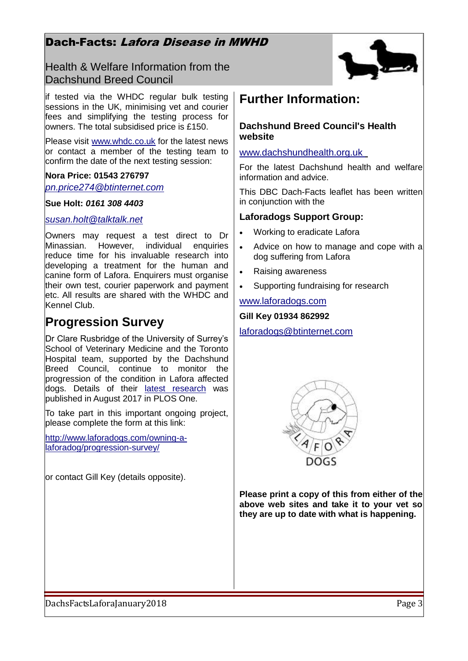### Dach-Facts: Lafora Disease in MWHD

Health & Welfare Information from the Dachshund Breed Council



if tested via the WHDC regular bulk testing sessions in the UK, minimising vet and courier fees and simplifying the testing process for owners. The total subsidised price is £150.

Please visit [www.whdc.co.uk](http://www.whdc.co.uk/) for the latest news or contact a member of the testing team to confirm the date of the next testing session:

### **Nora Price: 01543 276797**

*pn.price274@btinternet.com*

#### **Sue Holt:** *0161 308 4403*

### *[susan.holt@talktalk.net](mailto:susan.holt@talktalk.net)*

Owners may request a test direct to Dr Minassian. However, individual enquiries reduce time for his invaluable research into developing a treatment for the human and canine form of Lafora. Enquirers must organise their own test, courier paperwork and payment etc. All results are shared with the WHDC and Kennel Club.

### **Progression Survey**

Dr Clare Rusbridge of the University of Surrey's School of Veterinary Medicine and the Toronto Hospital team, supported by the Dachshund Breed Council, continue to monitor the progression of the condition in Lafora affected dogs. Details of their [latest research](https://www.fitzpatrickreferrals.co.uk/press_releases/2017/08/new-research-helps-dogs-and-children-with-lafora-disease-a-rare-and-severe-epilepsy/?utm_source=facebook&utm_campaign=news&utm_medium=social) was published in August 2017 in PLOS One.

To take part in this important ongoing project, please complete the form at this link:

[http://www.laforadogs.com/owning-a](http://www.laforadogs.com/owning-a-laforadog/progression-survey/)[laforadog/progression-survey/](http://www.laforadogs.com/owning-a-laforadog/progression-survey/)

or contact Gill Key (details opposite).

### **Further Information:**

### **Dachshund Breed Council's Health website**

www.dachshundhealth.org.uk

For the latest Dachshund health and welfare information and advice.

This DBC Dach-Facts leaflet has been written in conjunction with the

### **Laforadogs Support Group:**

- Working to eradicate Lafora
- Advice on how to manage and cope with a dog suffering from Lafora
- Raising awareness
- Supporting fundraising for research

#### [www.laforadogs.com](http://www.laforadogs.com/)

#### **Gill Key 01934 862992**

### [laforadogs@btinternet.com](mailto:laforadogs@btinternet.com)



**Please print a copy of this from either of the above web sites and take it to your vet so they are up to date with what is happening.**